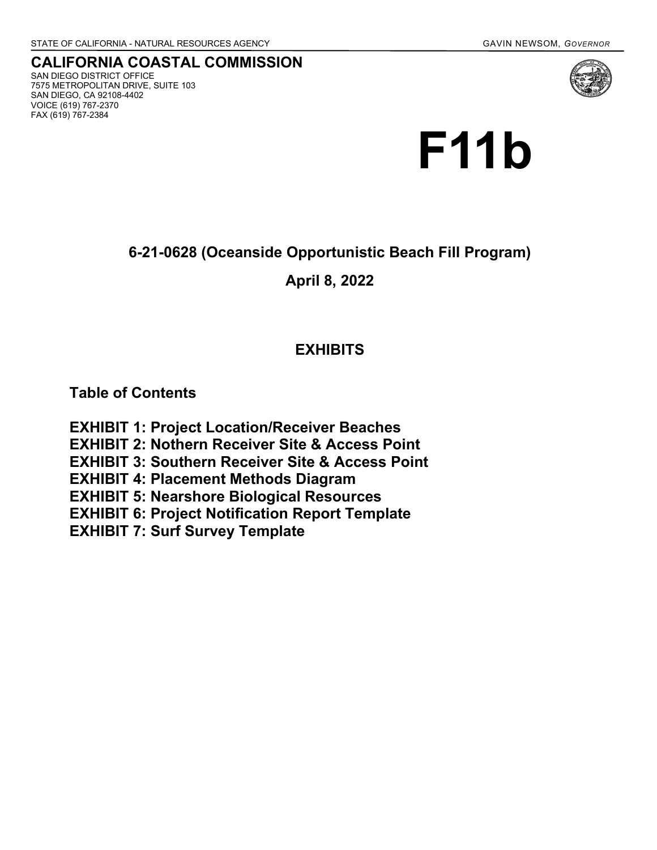**CALIFORNIA COASTAL COMMISSION** SAN DIEGO DISTRICT OFFICE 7575 METROPOLITAN DRIVE, SUITE 103 SAN DIEGO, CA 92108-4402 VOICE (619) 767-2370 FAX (619) 767-2384



**6-21-0628 (Oceanside Opportunistic Beach Fill Program)**

**April 8, 2022**

# **EXHIBITS**

**Table of Contents**

**EXHIBIT 1: Project Location/Receiver Beaches EXHIBIT 2: Nothern Receiver Site & Access Point EXHIBIT 3: Southern Receiver Site & Access Point EXHIBIT 4: Placement Methods Diagram EXHIBIT 5: Nearshore Biological Resources EXHIBIT 6: Project Notification Report Template EXHIBIT 7: Surf Survey Template**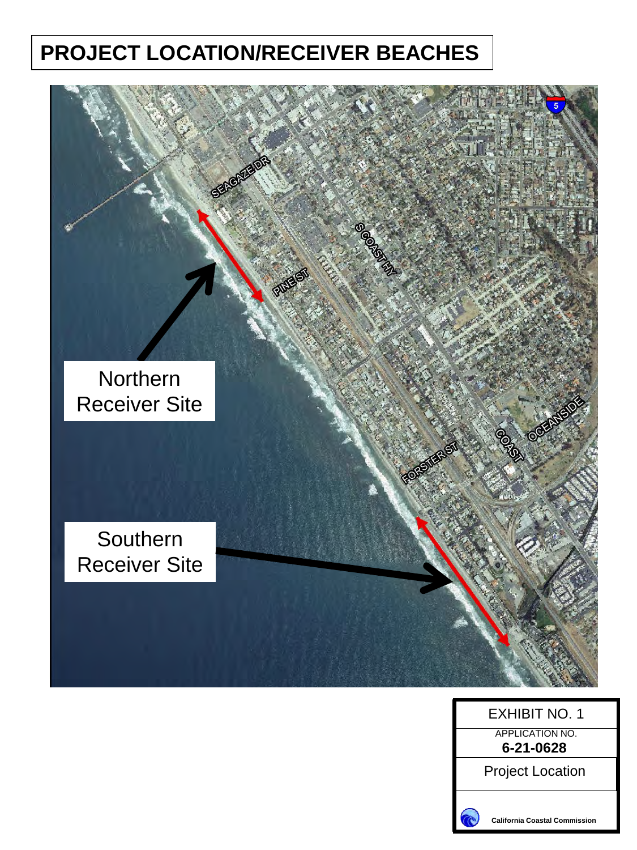# **PROJECT LOCATION/RECEIVER BEACHES**





**California Coastal Commission**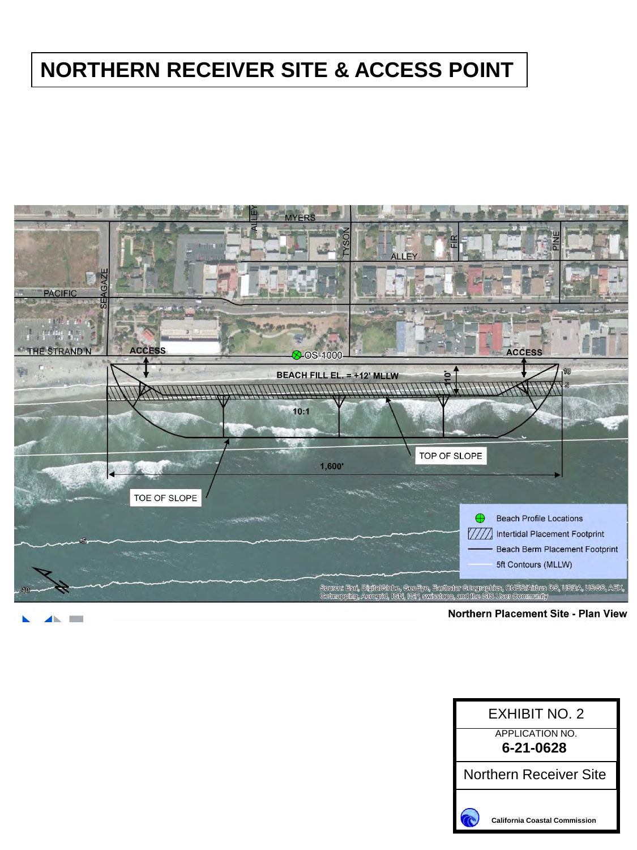# **NORTHERN RECEIVER SITE & ACCESS POINT**



Northern Placement Site - Plan View

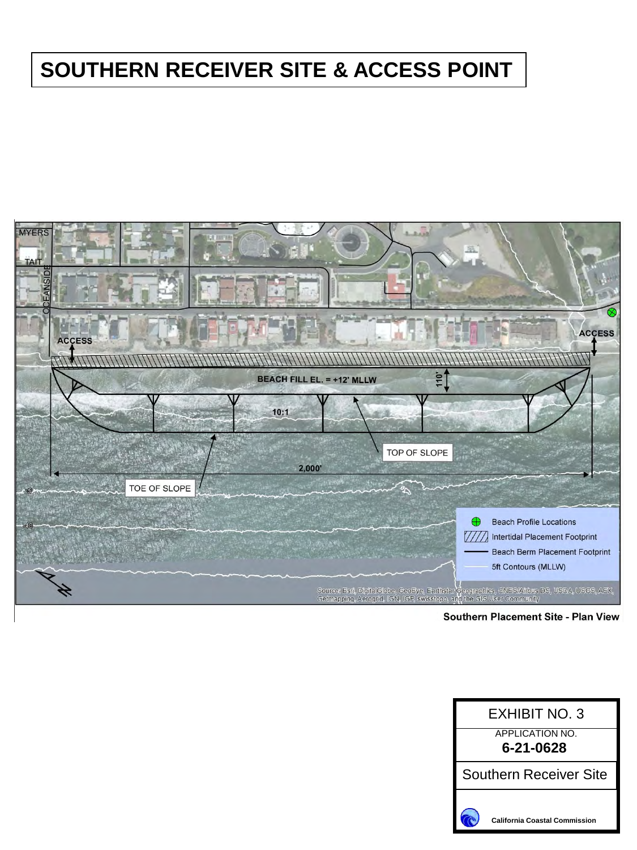# **SOUTHERN RECEIVER SITE & ACCESS POINT**



Southern Placement Site - Plan View

| <b>EXHIBIT NO. 3</b>                 |
|--------------------------------------|
| APPI ICATION NO.                     |
| 6-21-0628                            |
| Southern Receiver Site               |
| <b>California Coastal Commission</b> |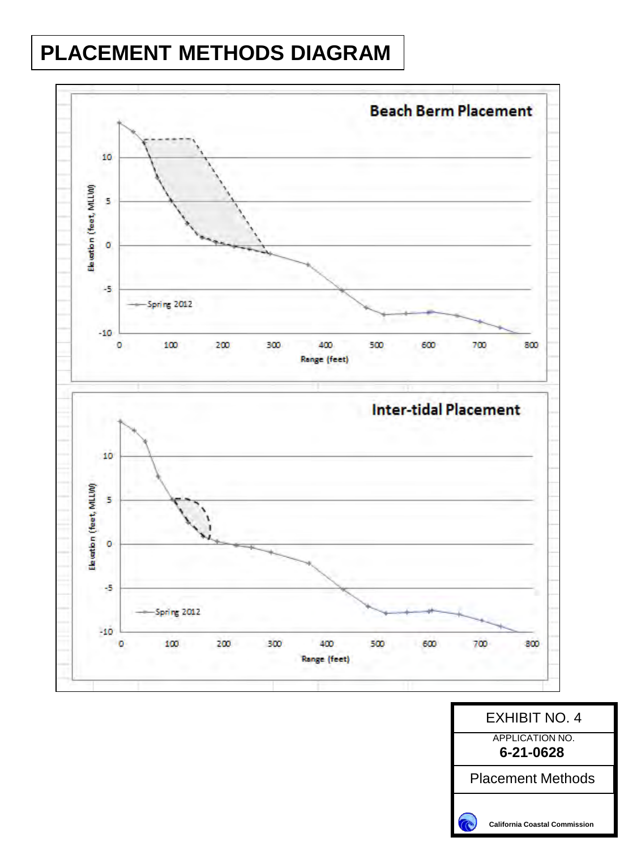# **PLACEMENT METHODS DIAGRAM**



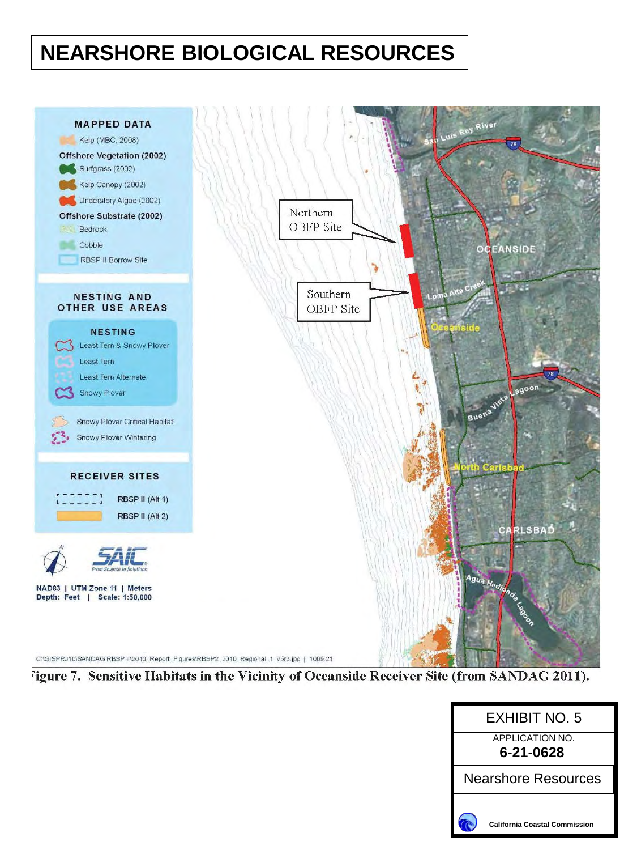# **NEARSHORE BIOLOGICAL RESOURCES**



<sup>7</sup>igure 7. Sensitive Habitats in the Vicinity of Oceanside Receiver Site (from SANDAG 2011).

| FXHIBIT NO. 5                        |  |  |  |
|--------------------------------------|--|--|--|
| <b>APPLICATION NO.</b><br>6-21-0628  |  |  |  |
| Nearshore Resources                  |  |  |  |
| <b>California Coastal Commission</b> |  |  |  |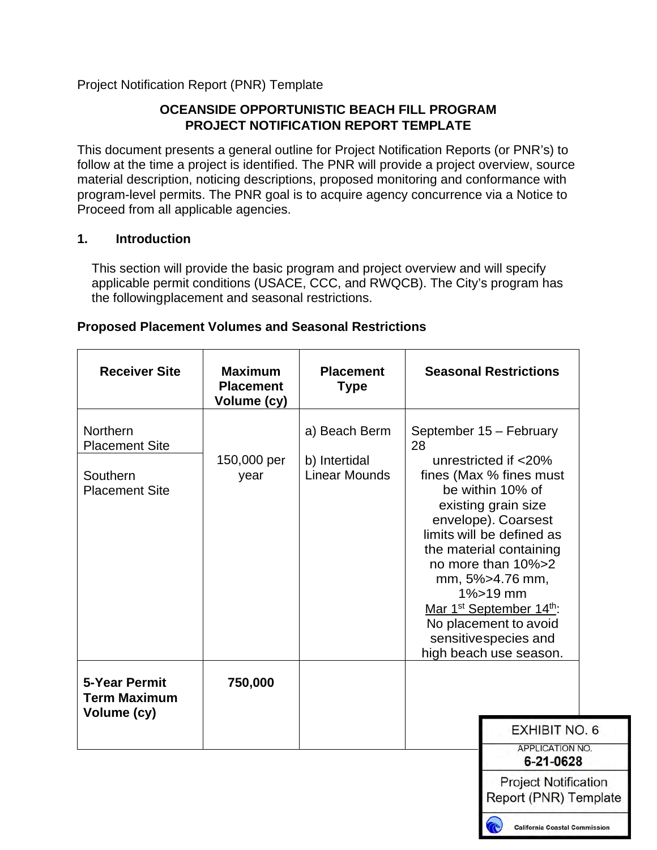#### Project Notification Report (PNR) Template

#### **OCEANSIDE OPPORTUNISTIC BEACH FILL PROGRAM PROJECT NOTIFICATION REPORT TEMPLATE**

This document presents a general outline for Project Notification Reports (or PNR's) to follow at the time a project is identified. The PNR will provide a project overview, source material description, noticing descriptions, proposed monitoring and conformance with program-level permits. The PNR goal is to acquire agency concurrence via a Notice to Proceed from all applicable agencies.

#### **1. Introduction**

This section will provide the basic program and project overview and will specify applicable permit conditions (USACE, CCC, and RWQCB). The City's program has the followingplacement and seasonal restrictions.

| <b>Receiver Site</b>                                                   | <b>Maximum</b><br><b>Placement</b><br>Volume (cy) | <b>Placement</b><br><b>Type</b>                        | <b>Seasonal Restrictions</b>                                                                                                                                                                                                                                                                                                                                                                        |
|------------------------------------------------------------------------|---------------------------------------------------|--------------------------------------------------------|-----------------------------------------------------------------------------------------------------------------------------------------------------------------------------------------------------------------------------------------------------------------------------------------------------------------------------------------------------------------------------------------------------|
| Northern<br><b>Placement Site</b><br>Southern<br><b>Placement Site</b> | 150,000 per<br>year                               | a) Beach Berm<br>b) Intertidal<br><b>Linear Mounds</b> | September 15 - February<br>28<br>unrestricted if <20%<br>fines (Max % fines must<br>be within 10% of<br>existing grain size<br>envelope). Coarsest<br>limits will be defined as<br>the material containing<br>no more than 10%>2<br>mm, 5%>4.76 mm,<br>$1\% > 19$ mm<br>Mar 1 <sup>st</sup> September 14 <sup>th</sup> :<br>No placement to avoid<br>sensitivespecies and<br>high beach use season. |
| <b>5-Year Permit</b><br><b>Term Maximum</b><br>Volume (cy)             | 750,000                                           |                                                        | <b>EXHIBIT NO. 6</b>                                                                                                                                                                                                                                                                                                                                                                                |
|                                                                        |                                                   |                                                        | <b>APPLICATION NO.</b><br>6-21-0628                                                                                                                                                                                                                                                                                                                                                                 |

#### **Proposed Placement Volumes and Seasonal Restrictions**

**California Coastal Commission** 

**Project Notification** Report (PNR) Template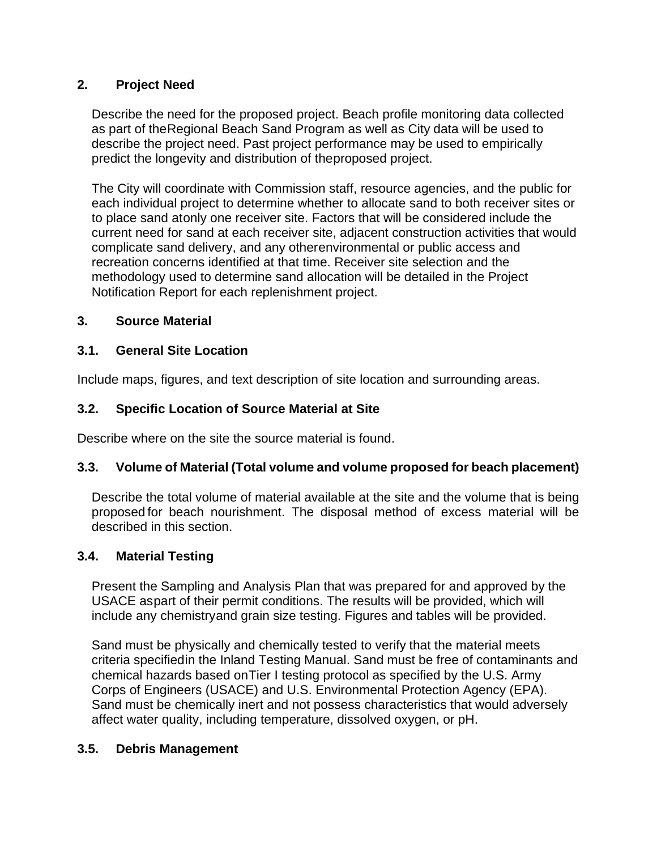#### **2. Project Need**

Describe the need for the proposed project. Beach profile monitoring data collected as part of theRegional Beach Sand Program as well as City data will be used to describe the project need. Past project performance may be used to empirically predict the longevity and distribution of theproposed project.

The City will coordinate with Commission staff, resource agencies, and the public for each individual project to determine whether to allocate sand to both receiver sites or to place sand atonly one receiver site. Factors that will be considered include the current need for sand at each receiver site, adjacent construction activities that would complicate sand delivery, and any otherenvironmental or public access and recreation concerns identified at that time. Receiver site selection and the methodology used to determine sand allocation will be detailed in the Project Notification Report for each replenishment project.

#### **3. Source Material**

#### **3.1. General Site Location**

Include maps, figures, and text description of site location and surrounding areas.

#### **3.2. Specific Location of Source Material at Site**

Describe where on the site the source material is found.

#### **3.3. Volume of Material (Total volume and volume proposed for beach placement)**

Describe the total volume of material available at the site and the volume that is being proposed for beach nourishment. The disposal method of excess material will be described in this section.

#### **3.4. Material Testing**

Present the Sampling and Analysis Plan that was prepared for and approved by the USACE aspart of their permit conditions. The results will be provided, which will include any chemistryand grain size testing. Figures and tables will be provided.

Sand must be physically and chemically tested to verify that the material meets criteria specifiedin the Inland Testing Manual. Sand must be free of contaminants and chemical hazards based onTier I testing protocol as specified by the U.S. Army Corps of Engineers (USACE) and U.S. Environmental Protection Agency (EPA). Sand must be chemically inert and not possess characteristics that would adversely affect water quality, including temperature, dissolved oxygen, or pH.

#### **3.5. Debris Management**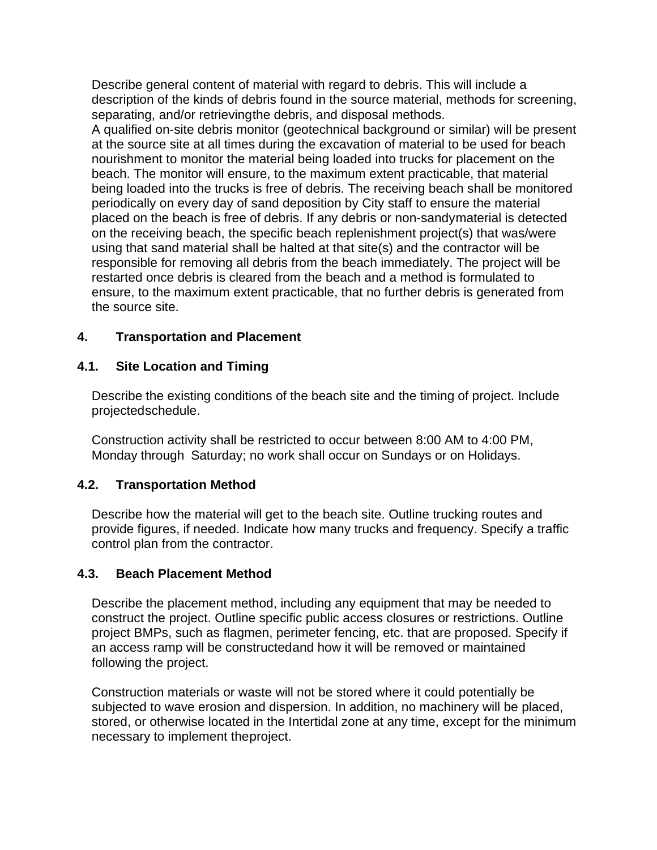Describe general content of material with regard to debris. This will include a description of the kinds of debris found in the source material, methods for screening, separating, and/or retrievingthe debris, and disposal methods.

A qualified on-site debris monitor (geotechnical background or similar) will be present at the source site at all times during the excavation of material to be used for beach nourishment to monitor the material being loaded into trucks for placement on the beach. The monitor will ensure, to the maximum extent practicable, that material being loaded into the trucks is free of debris. The receiving beach shall be monitored periodically on every day of sand deposition by City staff to ensure the material placed on the beach is free of debris. If any debris or non-sandymaterial is detected on the receiving beach, the specific beach replenishment project(s) that was/were using that sand material shall be halted at that site(s) and the contractor will be responsible for removing all debris from the beach immediately. The project will be restarted once debris is cleared from the beach and a method is formulated to ensure, to the maximum extent practicable, that no further debris is generated from the source site.

#### **4. Transportation and Placement**

#### **4.1. Site Location and Timing**

Describe the existing conditions of the beach site and the timing of project. Include projectedschedule.

Construction activity shall be restricted to occur between 8:00 AM to 4:00 PM, Monday through Saturday; no work shall occur on Sundays or on Holidays.

#### **4.2. Transportation Method**

Describe how the material will get to the beach site. Outline trucking routes and provide figures, if needed. Indicate how many trucks and frequency. Specify a traffic control plan from the contractor.

#### **4.3. Beach Placement Method**

Describe the placement method, including any equipment that may be needed to construct the project. Outline specific public access closures or restrictions. Outline project BMPs, such as flagmen, perimeter fencing, etc. that are proposed. Specify if an access ramp will be constructedand how it will be removed or maintained following the project.

Construction materials or waste will not be stored where it could potentially be subjected to wave erosion and dispersion. In addition, no machinery will be placed, stored, or otherwise located in the Intertidal zone at any time, except for the minimum necessary to implement theproject.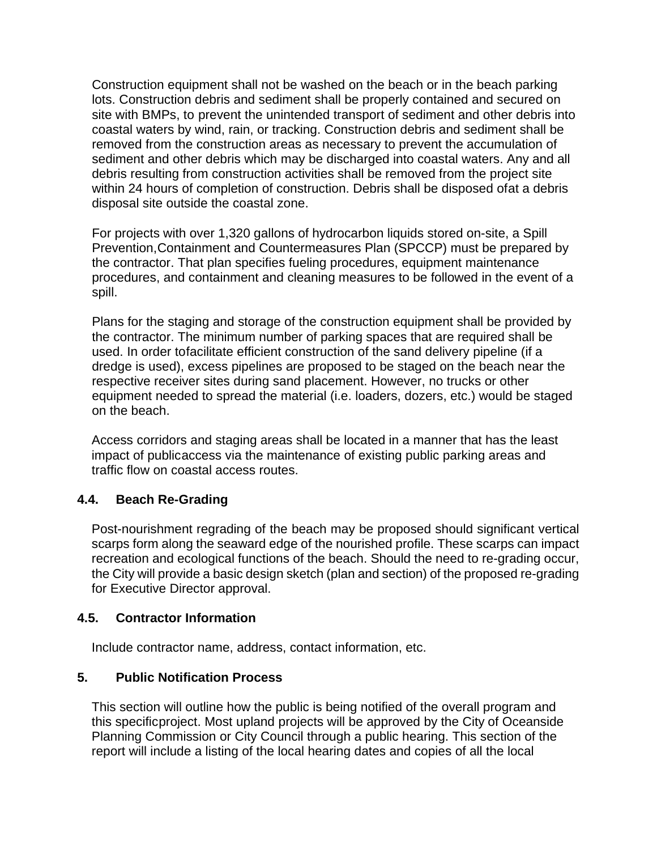Construction equipment shall not be washed on the beach or in the beach parking lots. Construction debris and sediment shall be properly contained and secured on site with BMPs, to prevent the unintended transport of sediment and other debris into coastal waters by wind, rain, or tracking. Construction debris and sediment shall be removed from the construction areas as necessary to prevent the accumulation of sediment and other debris which may be discharged into coastal waters. Any and all debris resulting from construction activities shall be removed from the project site within 24 hours of completion of construction. Debris shall be disposed ofat a debris disposal site outside the coastal zone.

For projects with over 1,320 gallons of hydrocarbon liquids stored on-site, a Spill Prevention,Containment and Countermeasures Plan (SPCCP) must be prepared by the contractor. That plan specifies fueling procedures, equipment maintenance procedures, and containment and cleaning measures to be followed in the event of a spill.

Plans for the staging and storage of the construction equipment shall be provided by the contractor. The minimum number of parking spaces that are required shall be used. In order tofacilitate efficient construction of the sand delivery pipeline (if a dredge is used), excess pipelines are proposed to be staged on the beach near the respective receiver sites during sand placement. However, no trucks or other equipment needed to spread the material (i.e. loaders, dozers, etc.) would be staged on the beach.

Access corridors and staging areas shall be located in a manner that has the least impact of publicaccess via the maintenance of existing public parking areas and traffic flow on coastal access routes.

#### **4.4. Beach Re-Grading**

Post-nourishment regrading of the beach may be proposed should significant vertical scarps form along the seaward edge of the nourished profile. These scarps can impact recreation and ecological functions of the beach. Should the need to re-grading occur, the City will provide a basic design sketch (plan and section) of the proposed re-grading for Executive Director approval.

#### **4.5. Contractor Information**

Include contractor name, address, contact information, etc.

#### **5. Public Notification Process**

This section will outline how the public is being notified of the overall program and this specificproject. Most upland projects will be approved by the City of Oceanside Planning Commission or City Council through a public hearing. This section of the report will include a listing of the local hearing dates and copies of all the local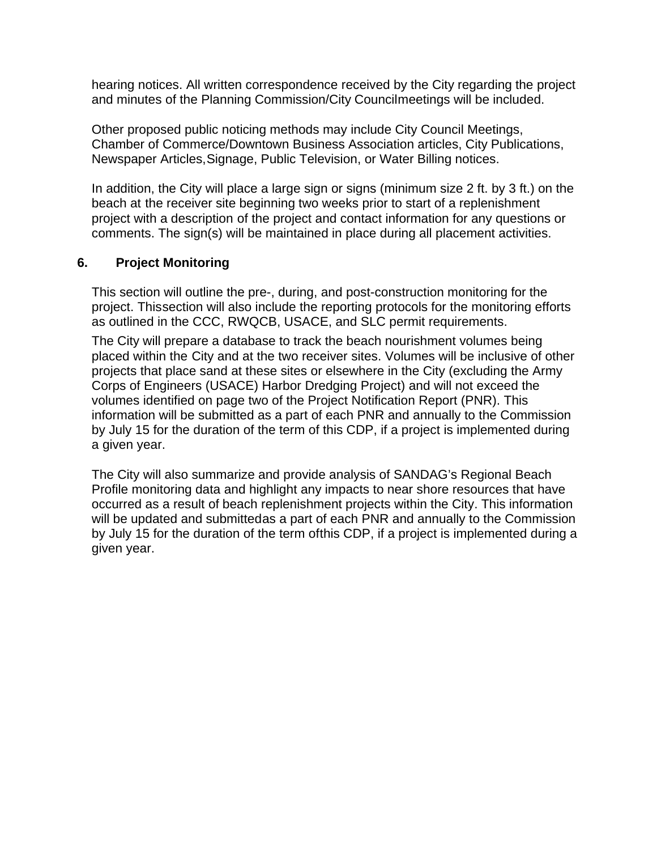hearing notices. All written correspondence received by the City regarding the project and minutes of the Planning Commission/City Councilmeetings will be included.

Other proposed public noticing methods may include City Council Meetings, Chamber of Commerce/Downtown Business Association articles, City Publications, Newspaper Articles,Signage, Public Television, or Water Billing notices.

In addition, the City will place a large sign or signs (minimum size 2 ft. by 3 ft.) on the beach at the receiver site beginning two weeks prior to start of a replenishment project with a description of the project and contact information for any questions or comments. The sign(s) will be maintained in place during all placement activities.

#### **6. Project Monitoring**

This section will outline the pre-, during, and post-construction monitoring for the project. Thissection will also include the reporting protocols for the monitoring efforts as outlined in the CCC, RWQCB, USACE, and SLC permit requirements.

The City will prepare a database to track the beach nourishment volumes being placed within the City and at the two receiver sites. Volumes will be inclusive of other projects that place sand at these sites or elsewhere in the City (excluding the Army Corps of Engineers (USACE) Harbor Dredging Project) and will not exceed the volumes identified on page two of the Project Notification Report (PNR). This information will be submitted as a part of each PNR and annually to the Commission by July 15 for the duration of the term of this CDP, if a project is implemented during a given year.

The City will also summarize and provide analysis of SANDAG's Regional Beach Profile monitoring data and highlight any impacts to near shore resources that have occurred as a result of beach replenishment projects within the City. This information will be updated and submittedas a part of each PNR and annually to the Commission by July 15 for the duration of the term ofthis CDP, if a project is implemented during a given year.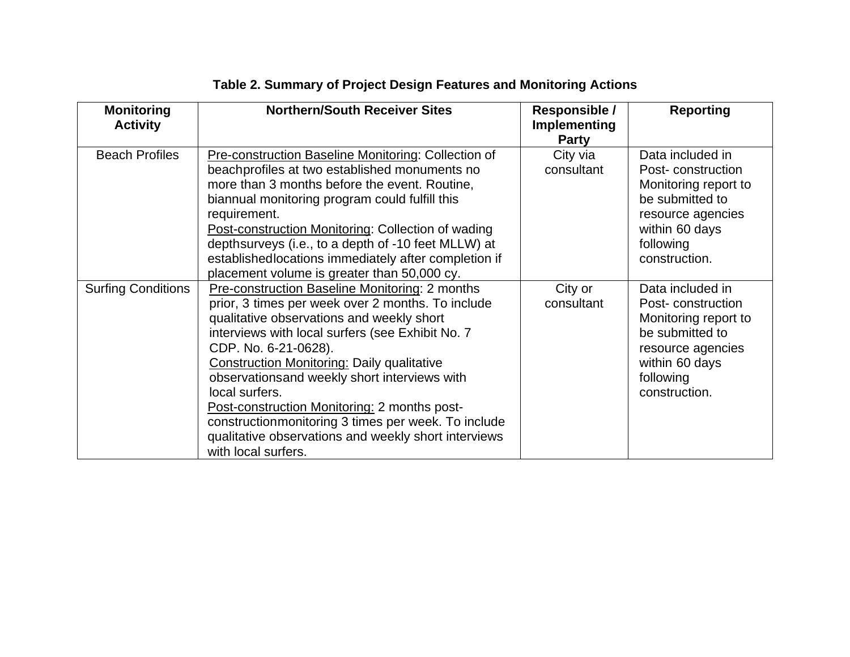| <b>Monitoring</b><br><b>Activity</b> | <b>Northern/South Receiver Sites</b>                                                                                                                                                                                                                                                                                                                                                                                                                                                                                                        | Responsible /<br>Implementing<br><b>Party</b> | <b>Reporting</b>                                                                                                                                      |
|--------------------------------------|---------------------------------------------------------------------------------------------------------------------------------------------------------------------------------------------------------------------------------------------------------------------------------------------------------------------------------------------------------------------------------------------------------------------------------------------------------------------------------------------------------------------------------------------|-----------------------------------------------|-------------------------------------------------------------------------------------------------------------------------------------------------------|
| <b>Beach Profiles</b>                | <b>Pre-construction Baseline Monitoring: Collection of</b><br>beachprofiles at two established monuments no<br>more than 3 months before the event. Routine,<br>biannual monitoring program could fulfill this<br>requirement.<br><b>Post-construction Monitoring: Collection of wading</b><br>depthsurveys (i.e., to a depth of -10 feet MLLW) at<br>establishedlocations immediately after completion if<br>placement volume is greater than 50,000 cy.                                                                                   | City via<br>consultant                        | Data included in<br>Post-construction<br>Monitoring report to<br>be submitted to<br>resource agencies<br>within 60 days<br>following<br>construction. |
| <b>Surfing Conditions</b>            | Pre-construction Baseline Monitoring: 2 months<br>prior, 3 times per week over 2 months. To include<br>qualitative observations and weekly short<br>interviews with local surfers (see Exhibit No. 7)<br>CDP. No. 6-21-0628).<br><b>Construction Monitoring: Daily qualitative</b><br>observationsand weekly short interviews with<br>local surfers.<br>Post-construction Monitoring: 2 months post-<br>construction monitoring 3 times per week. To include<br>qualitative observations and weekly short interviews<br>with local surfers. | City or<br>consultant                         | Data included in<br>Post-construction<br>Monitoring report to<br>be submitted to<br>resource agencies<br>within 60 days<br>following<br>construction. |

# **Table 2. Summary of Project Design Features and Monitoring Actions**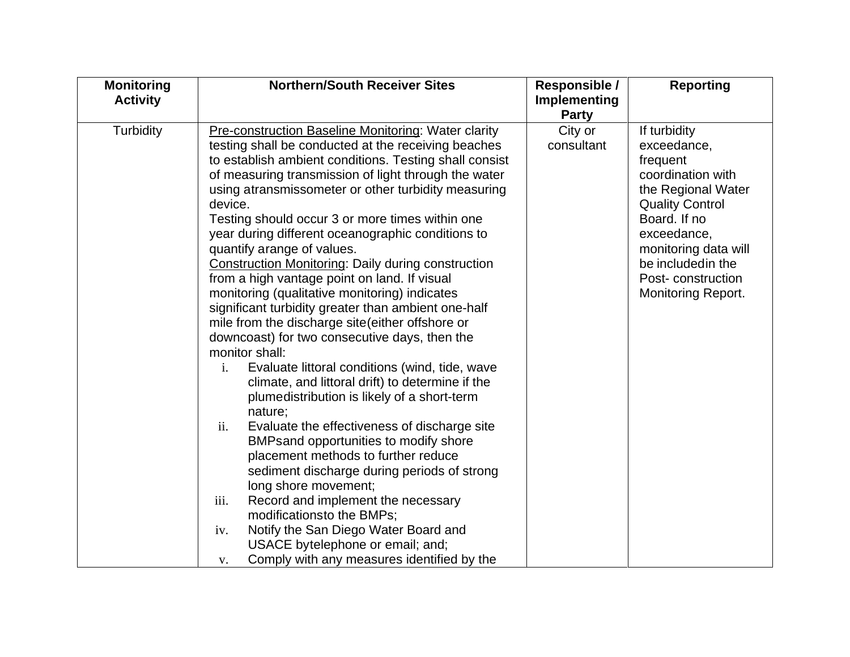| <b>Monitoring</b><br><b>Activity</b> | <b>Northern/South Receiver Sites</b>                                                                                                                                                                                                                                                                                                                                                                                                                                                                                                                                                                                                                                                                                                                                                                                                                                                                                                                                                                                                                                                                                                                                                                                                                                                                                                                                                          | Responsible /<br><b>Implementing</b> | <b>Reporting</b>                                                                                                                                                                                                                            |
|--------------------------------------|-----------------------------------------------------------------------------------------------------------------------------------------------------------------------------------------------------------------------------------------------------------------------------------------------------------------------------------------------------------------------------------------------------------------------------------------------------------------------------------------------------------------------------------------------------------------------------------------------------------------------------------------------------------------------------------------------------------------------------------------------------------------------------------------------------------------------------------------------------------------------------------------------------------------------------------------------------------------------------------------------------------------------------------------------------------------------------------------------------------------------------------------------------------------------------------------------------------------------------------------------------------------------------------------------------------------------------------------------------------------------------------------------|--------------------------------------|---------------------------------------------------------------------------------------------------------------------------------------------------------------------------------------------------------------------------------------------|
|                                      |                                                                                                                                                                                                                                                                                                                                                                                                                                                                                                                                                                                                                                                                                                                                                                                                                                                                                                                                                                                                                                                                                                                                                                                                                                                                                                                                                                                               | <b>Party</b>                         |                                                                                                                                                                                                                                             |
| Turbidity                            | <b>Pre-construction Baseline Monitoring: Water clarity</b><br>testing shall be conducted at the receiving beaches<br>to establish ambient conditions. Testing shall consist<br>of measuring transmission of light through the water<br>using atransmissometer or other turbidity measuring<br>device.<br>Testing should occur 3 or more times within one<br>year during different oceanographic conditions to<br>quantify arange of values.<br><b>Construction Monitoring: Daily during construction</b><br>from a high vantage point on land. If visual<br>monitoring (qualitative monitoring) indicates<br>significant turbidity greater than ambient one-half<br>mile from the discharge site (either offshore or<br>downcoast) for two consecutive days, then the<br>monitor shall:<br>Evaluate littoral conditions (wind, tide, wave<br>i.<br>climate, and littoral drift) to determine if the<br>plumedistribution is likely of a short-term<br>nature;<br>ii.<br>Evaluate the effectiveness of discharge site<br>BMPsand opportunities to modify shore<br>placement methods to further reduce<br>sediment discharge during periods of strong<br>long shore movement;<br>iii.<br>Record and implement the necessary<br>modificationsto the BMPs;<br>Notify the San Diego Water Board and<br>iv.<br>USACE bytelephone or email; and;<br>Comply with any measures identified by the<br>V. | City or<br>consultant                | If turbidity<br>exceedance,<br>frequent<br>coordination with<br>the Regional Water<br><b>Quality Control</b><br>Board. If no<br>exceedance,<br>monitoring data will<br>be included in the<br>Post-construction<br><b>Monitoring Report.</b> |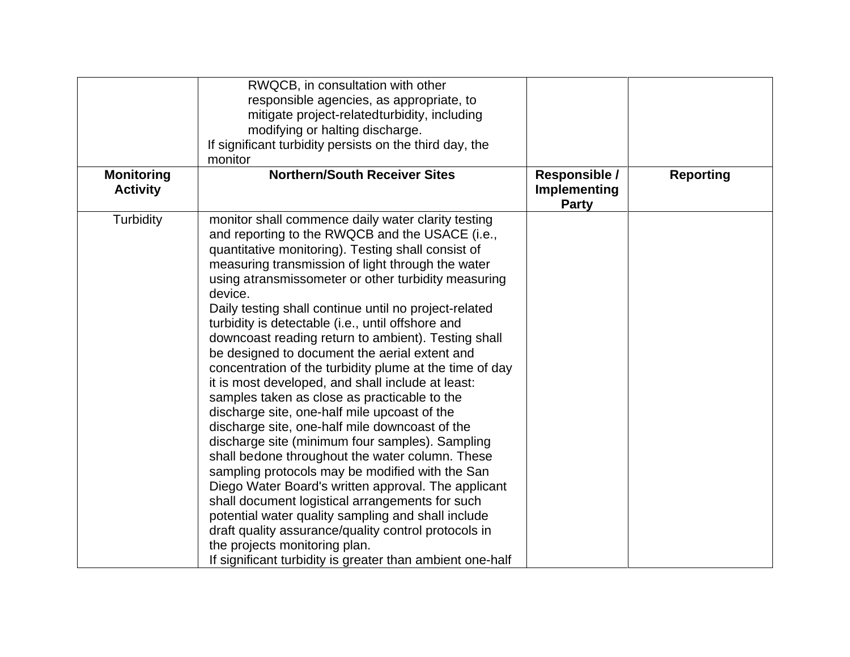|                                      | RWQCB, in consultation with other<br>responsible agencies, as appropriate, to<br>mitigate project-related turbidity, including<br>modifying or halting discharge.<br>If significant turbidity persists on the third day, the<br>monitor                                                                                                                                                                                                                                                                                                                                                                                                                                                                                                                                                                                                                                                                                                                                                                                                                                                                                                                                                                                                                   |                                               |                  |
|--------------------------------------|-----------------------------------------------------------------------------------------------------------------------------------------------------------------------------------------------------------------------------------------------------------------------------------------------------------------------------------------------------------------------------------------------------------------------------------------------------------------------------------------------------------------------------------------------------------------------------------------------------------------------------------------------------------------------------------------------------------------------------------------------------------------------------------------------------------------------------------------------------------------------------------------------------------------------------------------------------------------------------------------------------------------------------------------------------------------------------------------------------------------------------------------------------------------------------------------------------------------------------------------------------------|-----------------------------------------------|------------------|
| <b>Monitoring</b><br><b>Activity</b> | <b>Northern/South Receiver Sites</b>                                                                                                                                                                                                                                                                                                                                                                                                                                                                                                                                                                                                                                                                                                                                                                                                                                                                                                                                                                                                                                                                                                                                                                                                                      | Responsible /<br>Implementing<br><b>Party</b> | <b>Reporting</b> |
| <b>Turbidity</b>                     | monitor shall commence daily water clarity testing<br>and reporting to the RWQCB and the USACE (i.e.,<br>quantitative monitoring). Testing shall consist of<br>measuring transmission of light through the water<br>using atransmissometer or other turbidity measuring<br>device.<br>Daily testing shall continue until no project-related<br>turbidity is detectable (i.e., until offshore and<br>downcoast reading return to ambient). Testing shall<br>be designed to document the aerial extent and<br>concentration of the turbidity plume at the time of day<br>it is most developed, and shall include at least:<br>samples taken as close as practicable to the<br>discharge site, one-half mile upcoast of the<br>discharge site, one-half mile downcoast of the<br>discharge site (minimum four samples). Sampling<br>shall bedone throughout the water column. These<br>sampling protocols may be modified with the San<br>Diego Water Board's written approval. The applicant<br>shall document logistical arrangements for such<br>potential water quality sampling and shall include<br>draft quality assurance/quality control protocols in<br>the projects monitoring plan.<br>If significant turbidity is greater than ambient one-half |                                               |                  |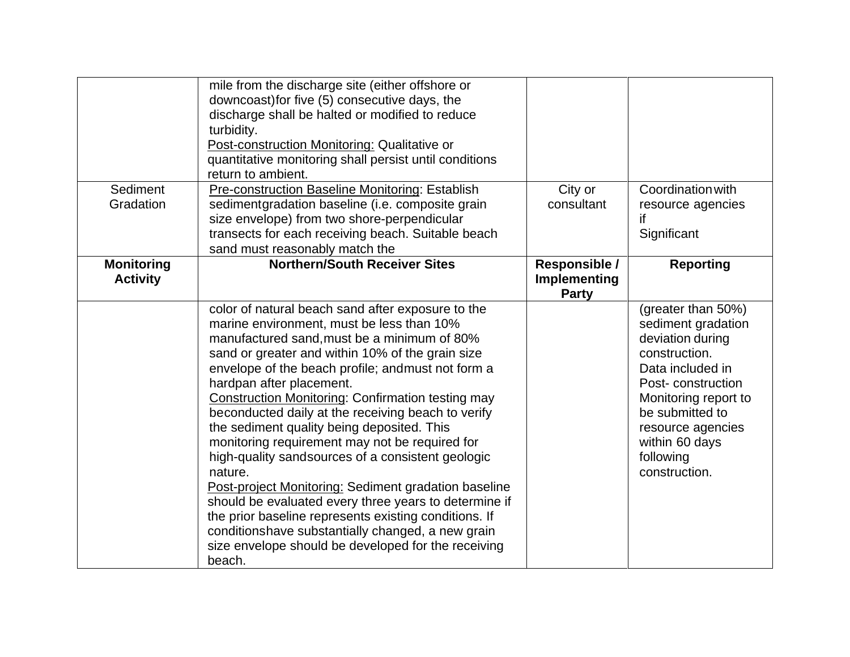| Sediment                             | mile from the discharge site (either offshore or<br>downcoast) for five (5) consecutive days, the<br>discharge shall be halted or modified to reduce<br>turbidity.<br>Post-construction Monitoring: Qualitative or<br>quantitative monitoring shall persist until conditions<br>return to ambient.<br>Pre-construction Baseline Monitoring: Establish                                                                                                                                                                                                                                                                                                                                                                                                                                                                                                                | City or                                       | Coordination with                                                                                                                                                                                                                      |
|--------------------------------------|----------------------------------------------------------------------------------------------------------------------------------------------------------------------------------------------------------------------------------------------------------------------------------------------------------------------------------------------------------------------------------------------------------------------------------------------------------------------------------------------------------------------------------------------------------------------------------------------------------------------------------------------------------------------------------------------------------------------------------------------------------------------------------------------------------------------------------------------------------------------|-----------------------------------------------|----------------------------------------------------------------------------------------------------------------------------------------------------------------------------------------------------------------------------------------|
| Gradation                            | sedimentgradation baseline (i.e. composite grain<br>size envelope) from two shore-perpendicular<br>transects for each receiving beach. Suitable beach<br>sand must reasonably match the                                                                                                                                                                                                                                                                                                                                                                                                                                                                                                                                                                                                                                                                              | consultant                                    | resource agencies<br>if<br>Significant                                                                                                                                                                                                 |
| <b>Monitoring</b><br><b>Activity</b> | <b>Northern/South Receiver Sites</b>                                                                                                                                                                                                                                                                                                                                                                                                                                                                                                                                                                                                                                                                                                                                                                                                                                 | Responsible /<br>Implementing<br><b>Party</b> | <b>Reporting</b>                                                                                                                                                                                                                       |
|                                      | color of natural beach sand after exposure to the<br>marine environment, must be less than 10%<br>manufactured sand, must be a minimum of 80%<br>sand or greater and within 10% of the grain size<br>envelope of the beach profile; andmust not form a<br>hardpan after placement.<br><b>Construction Monitoring: Confirmation testing may</b><br>beconducted daily at the receiving beach to verify<br>the sediment quality being deposited. This<br>monitoring requirement may not be required for<br>high-quality sandsources of a consistent geologic<br>nature.<br>Post-project Monitoring: Sediment gradation baseline<br>should be evaluated every three years to determine if<br>the prior baseline represents existing conditions. If<br>conditionshave substantially changed, a new grain<br>size envelope should be developed for the receiving<br>beach. |                                               | (greater than 50%)<br>sediment gradation<br>deviation during<br>construction.<br>Data included in<br>Post-construction<br>Monitoring report to<br>be submitted to<br>resource agencies<br>within 60 days<br>following<br>construction. |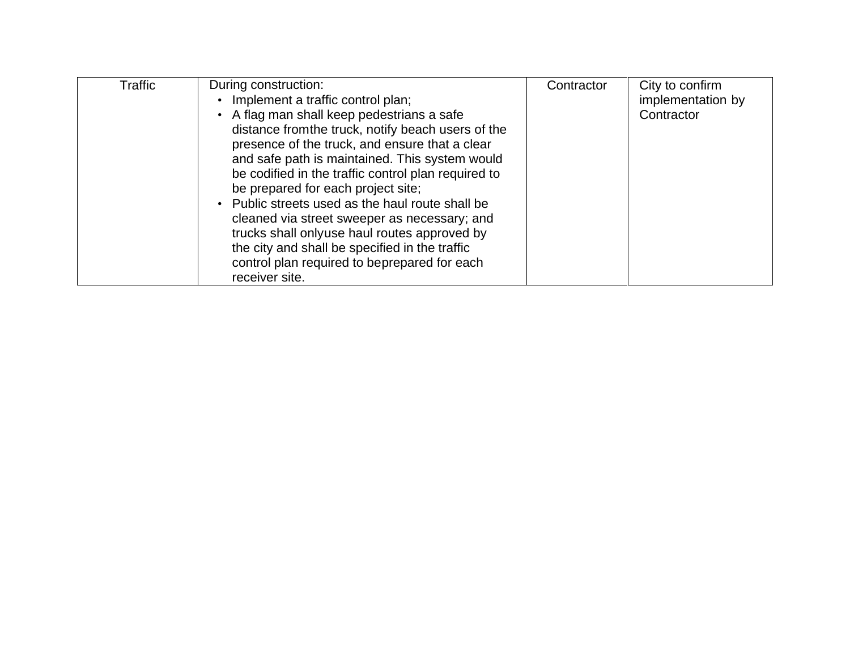| Traffic | During construction:<br>Implement a traffic control plan;<br>• A flag man shall keep pedestrians a safe<br>distance from the truck, notify beach users of the<br>presence of the truck, and ensure that a clear<br>and safe path is maintained. This system would<br>be codified in the traffic control plan required to<br>be prepared for each project site;<br>Public streets used as the haul route shall be<br>cleaned via street sweeper as necessary; and<br>trucks shall onlyuse haul routes approved by<br>the city and shall be specified in the traffic<br>control plan required to beprepared for each<br>receiver site. | Contractor | City to confirm<br>implementation by<br>Contractor |
|---------|--------------------------------------------------------------------------------------------------------------------------------------------------------------------------------------------------------------------------------------------------------------------------------------------------------------------------------------------------------------------------------------------------------------------------------------------------------------------------------------------------------------------------------------------------------------------------------------------------------------------------------------|------------|----------------------------------------------------|
|---------|--------------------------------------------------------------------------------------------------------------------------------------------------------------------------------------------------------------------------------------------------------------------------------------------------------------------------------------------------------------------------------------------------------------------------------------------------------------------------------------------------------------------------------------------------------------------------------------------------------------------------------------|------------|----------------------------------------------------|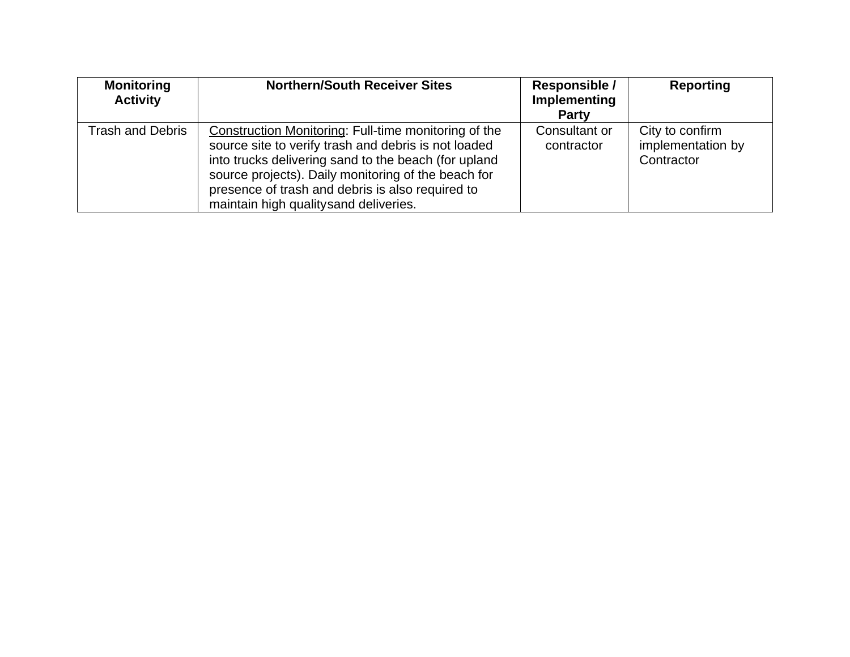| <b>Monitoring</b><br><b>Activity</b> | <b>Northern/South Receiver Sites</b>                                                                                                                                                                                                                                                                                     | Responsible /<br>Implementing<br><b>Party</b> | Reporting                                          |
|--------------------------------------|--------------------------------------------------------------------------------------------------------------------------------------------------------------------------------------------------------------------------------------------------------------------------------------------------------------------------|-----------------------------------------------|----------------------------------------------------|
| Trash and Debris                     | Construction Monitoring: Full-time monitoring of the<br>source site to verify trash and debris is not loaded<br>into trucks delivering sand to the beach (for upland<br>source projects). Daily monitoring of the beach for<br>presence of trash and debris is also required to<br>maintain high qualitysand deliveries. | Consultant or<br>contractor                   | City to confirm<br>implementation by<br>Contractor |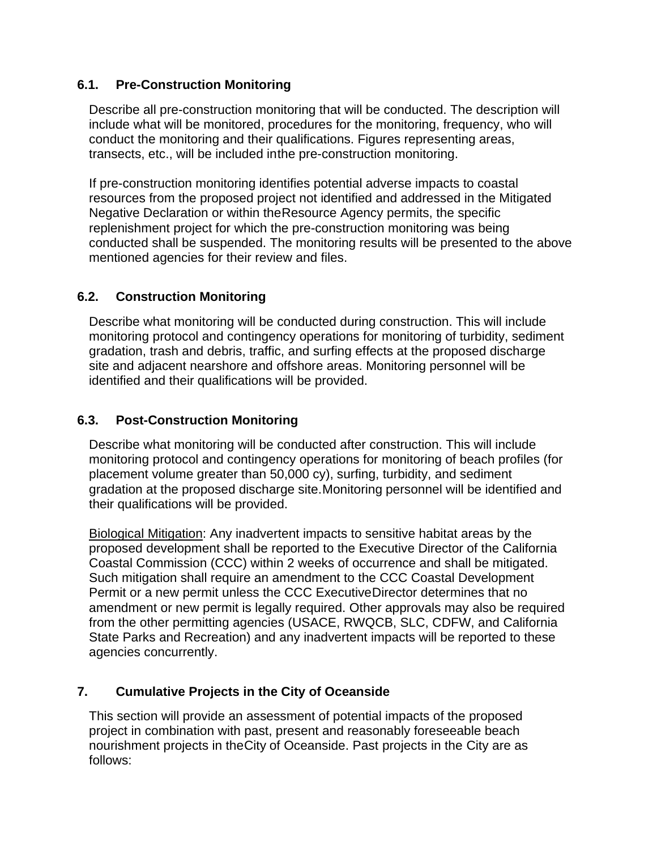#### **6.1. Pre-Construction Monitoring**

Describe all pre-construction monitoring that will be conducted. The description will include what will be monitored, procedures for the monitoring, frequency, who will conduct the monitoring and their qualifications. Figures representing areas, transects, etc., will be included inthe pre-construction monitoring.

If pre-construction monitoring identifies potential adverse impacts to coastal resources from the proposed project not identified and addressed in the Mitigated Negative Declaration or within theResource Agency permits, the specific replenishment project for which the pre-construction monitoring was being conducted shall be suspended. The monitoring results will be presented to the above mentioned agencies for their review and files.

#### **6.2. Construction Monitoring**

Describe what monitoring will be conducted during construction. This will include monitoring protocol and contingency operations for monitoring of turbidity, sediment gradation, trash and debris, traffic, and surfing effects at the proposed discharge site and adjacent nearshore and offshore areas. Monitoring personnel will be identified and their qualifications will be provided.

#### **6.3. Post-Construction Monitoring**

Describe what monitoring will be conducted after construction. This will include monitoring protocol and contingency operations for monitoring of beach profiles (for placement volume greater than 50,000 cy), surfing, turbidity, and sediment gradation at the proposed discharge site.Monitoring personnel will be identified and their qualifications will be provided.

Biological Mitigation: Any inadvertent impacts to sensitive habitat areas by the proposed development shall be reported to the Executive Director of the California Coastal Commission (CCC) within 2 weeks of occurrence and shall be mitigated. Such mitigation shall require an amendment to the CCC Coastal Development Permit or a new permit unless the CCC ExecutiveDirector determines that no amendment or new permit is legally required. Other approvals may also be required from the other permitting agencies (USACE, RWQCB, SLC, CDFW, and California State Parks and Recreation) and any inadvertent impacts will be reported to these agencies concurrently.

#### **7. Cumulative Projects in the City of Oceanside**

This section will provide an assessment of potential impacts of the proposed project in combination with past, present and reasonably foreseeable beach nourishment projects in theCity of Oceanside. Past projects in the City are as follows: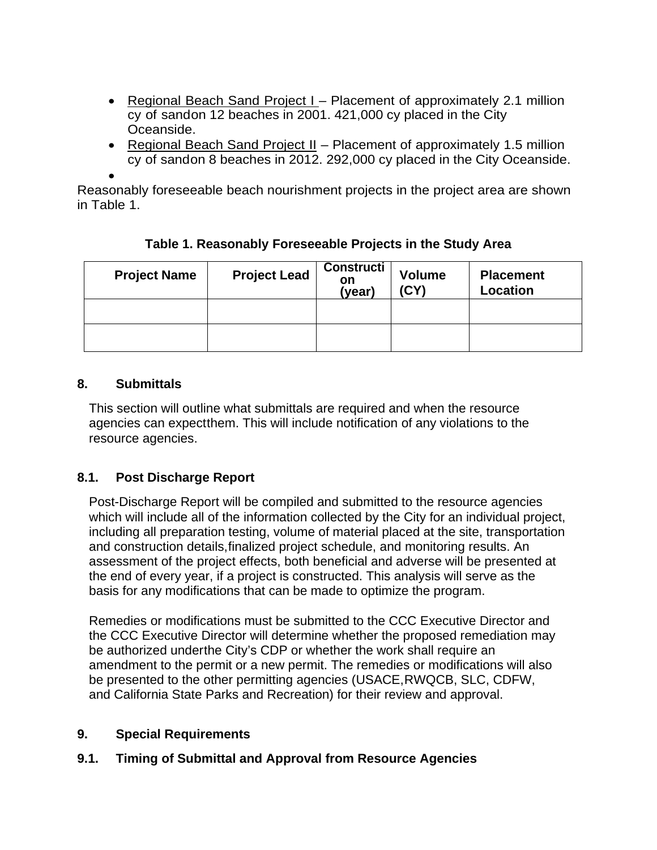- Regional Beach Sand Project I Placement of approximately 2.1 million cy of sandon 12 beaches in 2001. 421,000 cy placed in the City Oceanside.
- Regional Beach Sand Project II Placement of approximately 1.5 million cy of sandon 8 beaches in 2012. 292,000 cy placed in the City Oceanside.

•

Reasonably foreseeable beach nourishment projects in the project area are shown in Table 1.

| <b>Project Name</b> | <b>Project Lead</b> | <b>Constructi</b><br>on<br>(year) | <b>Volume</b><br>(CY) | <b>Placement</b><br>Location |
|---------------------|---------------------|-----------------------------------|-----------------------|------------------------------|
|                     |                     |                                   |                       |                              |
|                     |                     |                                   |                       |                              |

**Table 1. Reasonably Foreseeable Projects in the Study Area**

# **8. Submittals**

This section will outline what submittals are required and when the resource agencies can expectthem. This will include notification of any violations to the resource agencies.

# **8.1. Post Discharge Report**

Post-Discharge Report will be compiled and submitted to the resource agencies which will include all of the information collected by the City for an individual project, including all preparation testing, volume of material placed at the site, transportation and construction details,finalized project schedule, and monitoring results. An assessment of the project effects, both beneficial and adverse will be presented at the end of every year, if a project is constructed. This analysis will serve as the basis for any modifications that can be made to optimize the program.

Remedies or modifications must be submitted to the CCC Executive Director and the CCC Executive Director will determine whether the proposed remediation may be authorized underthe City's CDP or whether the work shall require an amendment to the permit or a new permit. The remedies or modifications will also be presented to the other permitting agencies (USACE,RWQCB, SLC, CDFW, and California State Parks and Recreation) for their review and approval.

# **9. Special Requirements**

# **9.1. Timing of Submittal and Approval from Resource Agencies**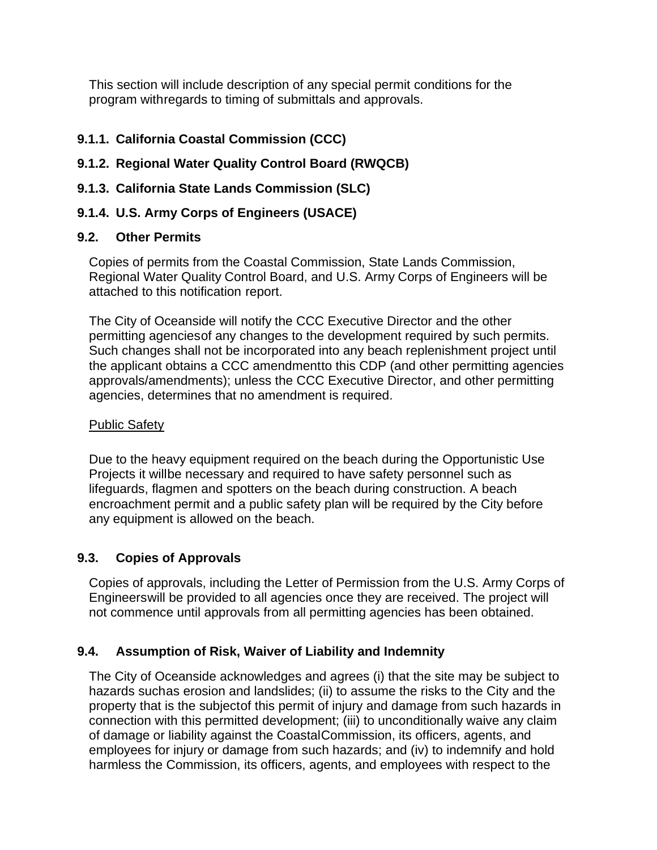This section will include description of any special permit conditions for the program withregards to timing of submittals and approvals.

#### **9.1.1. California Coastal Commission (CCC)**

# **9.1.2. Regional Water Quality Control Board (RWQCB)**

### **9.1.3. California State Lands Commission (SLC)**

# **9.1.4. U.S. Army Corps of Engineers (USACE)**

#### **9.2. Other Permits**

Copies of permits from the Coastal Commission, State Lands Commission, Regional Water Quality Control Board, and U.S. Army Corps of Engineers will be attached to this notification report.

The City of Oceanside will notify the CCC Executive Director and the other permitting agenciesof any changes to the development required by such permits. Such changes shall not be incorporated into any beach replenishment project until the applicant obtains a CCC amendmentto this CDP (and other permitting agencies approvals/amendments); unless the CCC Executive Director, and other permitting agencies, determines that no amendment is required.

#### Public Safety

Due to the heavy equipment required on the beach during the Opportunistic Use Projects it willbe necessary and required to have safety personnel such as lifeguards, flagmen and spotters on the beach during construction. A beach encroachment permit and a public safety plan will be required by the City before any equipment is allowed on the beach.

# **9.3. Copies of Approvals**

Copies of approvals, including the Letter of Permission from the U.S. Army Corps of Engineerswill be provided to all agencies once they are received. The project will not commence until approvals from all permitting agencies has been obtained.

# **9.4. Assumption of Risk, Waiver of Liability and Indemnity**

The City of Oceanside acknowledges and agrees (i) that the site may be subject to hazards suchas erosion and landslides; (ii) to assume the risks to the City and the property that is the subjectof this permit of injury and damage from such hazards in connection with this permitted development; (iii) to unconditionally waive any claim of damage or liability against the CoastalCommission, its officers, agents, and employees for injury or damage from such hazards; and (iv) to indemnify and hold harmless the Commission, its officers, agents, and employees with respect to the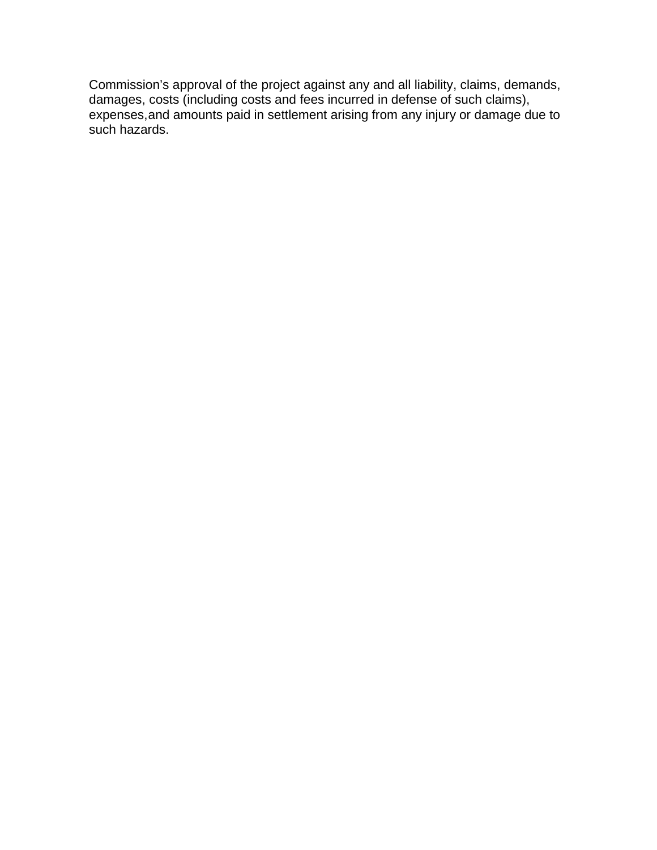Commission's approval of the project against any and all liability, claims, demands, damages, costs (including costs and fees incurred in defense of such claims), expenses,and amounts paid in settlement arising from any injury or damage due to such hazards.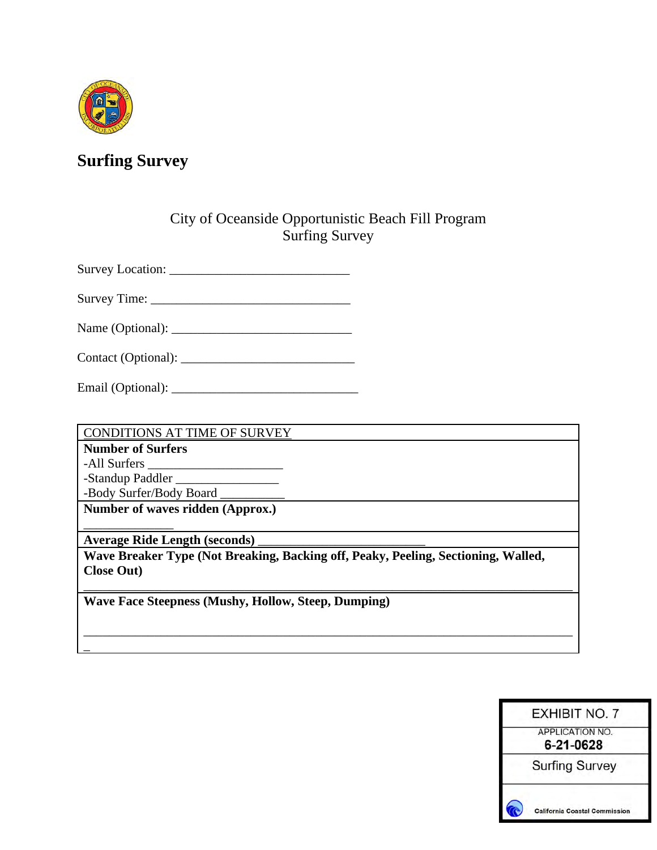

# **Surfing Survey**

# City of Oceanside Opportunistic Beach Fill Program Surfing Survey

Survey Location: \_\_\_\_\_\_\_\_\_\_\_\_\_\_\_\_\_\_\_\_\_\_\_\_\_\_\_\_

Survey Time: \_\_\_\_\_\_\_\_\_\_\_\_\_\_\_\_\_\_\_\_\_\_\_\_\_\_\_\_\_\_\_

Name (Optional): \_\_\_\_\_\_\_\_\_\_\_\_\_\_\_\_\_\_\_\_\_\_\_\_\_\_\_\_

Contact (Optional): \_\_\_\_\_\_\_\_\_\_\_\_\_\_\_\_\_\_\_\_\_\_\_\_\_\_\_

Email (Optional): \_\_\_\_\_\_\_\_\_\_\_\_\_\_\_\_\_\_\_\_\_\_\_\_\_\_\_\_\_

CONDITIONS AT TIME OF SURVEY

**Number of Surfers**

-All Surfers \_\_\_\_\_\_\_\_\_\_\_\_\_\_\_\_\_\_\_\_\_

 $\overline{a}$ 

-Standup Paddler \_\_\_\_\_\_\_\_\_\_\_\_\_\_\_\_

-Body Surfer/Body Board \_

**Number of waves ridden (Approx.)** \_\_\_\_\_\_\_\_\_\_\_\_\_\_

**Average Ride Length (seconds)** \_\_\_\_\_\_\_\_\_\_\_\_\_\_\_\_\_\_\_\_\_\_\_\_\_\_

**Wave Breaker Type (Not Breaking, Backing off, Peaky, Peeling, Sectioning, Walled, Close Out)**

\_\_\_\_\_\_\_\_\_\_\_\_\_\_\_\_\_\_\_\_\_\_\_\_\_\_\_\_\_\_\_\_\_\_\_\_\_\_\_\_\_\_\_\_\_\_\_\_\_\_\_\_\_\_\_\_\_\_\_\_\_\_\_\_\_\_\_\_\_\_\_\_\_\_\_\_

\_\_\_\_\_\_\_\_\_\_\_\_\_\_\_\_\_\_\_\_\_\_\_\_\_\_\_\_\_\_\_\_\_\_\_\_\_\_\_\_\_\_\_\_\_\_\_\_\_\_\_\_\_\_\_\_\_\_\_\_\_\_\_\_\_\_\_\_\_\_\_\_\_\_\_\_

**Wave Face Steepness (Mushy, Hollow, Steep, Dumping)**

| <b>EXHIBIT NO. 7</b>                 |  |
|--------------------------------------|--|
| <b>APPLICATION NO.</b><br>6-21-0628  |  |
| <b>Surfing Survey</b>                |  |
| <b>California Coastal Commission</b> |  |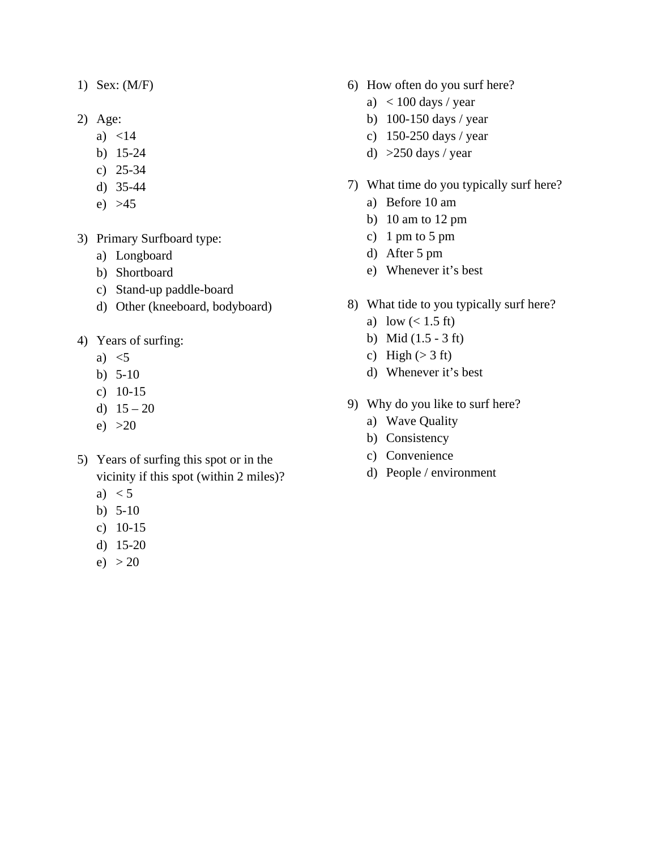- 1) Sex: (M/F)
- 2) Age:
	- a) <14
	- b) 15-24
	- c) 25-34
	- d) 35-44
	- e) >45
- 3) Primary Surfboard type:
	- a) Longboard
	- b) Shortboard
	- c) Stand-up paddle-board
	- d) Other (kneeboard, bodyboard)
- 4) Years of surfing:
	- a)  $\leq$ 5
	- b) 5-10
	- c) 10-15
	- d)  $15 20$
	- e)  $>20$
- 5) Years of surfing this spot or in the vicinity if this spot (within 2 miles)?
	- a)  $< 5$
	- b) 5-10
	- c) 10-15
	- d) 15-20
	- e)  $> 20$
- 6) How often do you surf here?
	- a)  $< 100$  days / year
	- b) 100-150 days / year
	- c) 150-250 days / year
	- d)  $>250$  days / year
- 7) What time do you typically surf here?
	- a) Before 10 am
	- b) 10 am to 12 pm
	- c) 1 pm to 5 pm
	- d) After 5 pm
	- e) Whenever it's best
- 8) What tide to you typically surf here?
	- a) low  $(< 1.5 \text{ ft})$
	- b) Mid (1.5 3 ft)
	- c) High  $(> 3 \text{ ft})$
	- d) Whenever it's best
- 9) Why do you like to surf here?
	- a) Wave Quality
	- b) Consistency
	- c) Convenience
	- d) People / environment